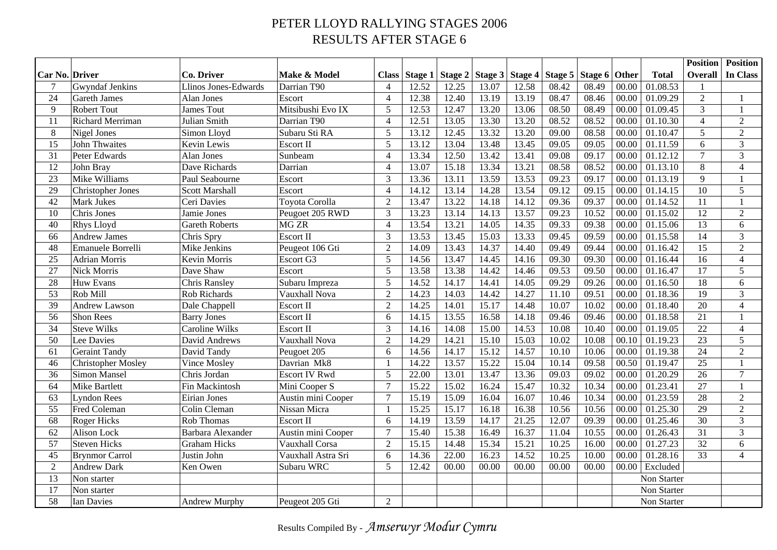## PETER LLOYD RALLYING STAGES 2006 RESULTS AFTER STAGE 6

|                |                           |                       |                      |                |         |         |       |                   |         |         |       |                       | <b>Position</b> | <b>Position</b> |
|----------------|---------------------------|-----------------------|----------------------|----------------|---------|---------|-------|-------------------|---------|---------|-------|-----------------------|-----------------|-----------------|
| Car No. Driver |                           | Co. Driver            | Make & Model         | <b>Class</b>   | Stage 1 | Stage 2 |       | Stage 3   Stage 4 | Stage 5 | Stage 6 | Other | <b>Total</b>          | Overall         | In Class        |
| 7              | Gwyndaf Jenkins           | Llinos Jones-Edwards  | Darrian T90          | $\overline{4}$ | 12.52   | 12.25   | 13.07 | 12.58             | 08.42   | 08.49   | 00.00 | 01.08.53              | $\mathbf{1}$    |                 |
| 24             | Gareth James              | Alan Jones            | Escort               | $\overline{4}$ | 12.38   | 12.40   | 13.19 | 13.19             | 08.47   | 08.46   | 00.00 | 01.09.29              | $\sqrt{2}$      | $\mathbf{1}$    |
| 9              | <b>Robert Tout</b>        | James Tout            | Mitsibushi Evo IX    | 5              | 12.53   | 12.47   | 13.20 | 13.06             | 08.50   | 08.49   | 00.00 | 01.09.45              | $\overline{3}$  | $\mathbf{1}$    |
| 11             | <b>Richard Merriman</b>   | Julian Smith          | Darrian T90          | $\overline{4}$ | 12.51   | 13.05   | 13.30 | 13.20             | 08.52   | 08.52   | 00.00 | 01.10.30              | $\overline{4}$  | $\overline{2}$  |
| 8              | Nigel Jones               | Simon Lloyd           | Subaru Sti RA        | 5              | 13.12   | 12.45   | 13.32 | 13.20             | 09.00   | 08.58   | 00.00 | 01.10.47              | 5               | $\overline{2}$  |
| 15             | <b>John Thwaites</b>      | Kevin Lewis           | <b>Escort II</b>     | 5              | 13.12   | 13.04   | 13.48 | 13.45             | 09.05   | 09.05   | 00.00 | 01.11.59              | 6               | 3               |
| 31             | Peter Edwards             | <b>Alan Jones</b>     | Sunbeam              | $\overline{4}$ | 13.34   | 12.50   | 13.42 | 13.41             | 09.08   | 09.17   | 00.00 | 01.12.12              | $\overline{7}$  | $\mathfrak{Z}$  |
| 12             | John Bray                 | Dave Richards         | Darrian              | $\overline{4}$ | 13.07   | 15.18   | 13.34 | 13.21             | 08.58   | 08.52   | 00.00 | 01.13.10              | $8\,$           | $\overline{4}$  |
| 23             | Mike Williams             | Paul Seabourne        | Escort               | 3              | 13.36   | 13.11   | 13.59 | 13.53             | 09.23   | 09.17   | 00.00 | 01.13.19              | 9               | $\mathbf{1}$    |
| 29             | <b>Christopher Jones</b>  | <b>Scott Marshall</b> | Escort               | $\overline{4}$ | 14.12   | 13.14   | 14.28 | 13.54             | 09.12   | 09.15   | 00.00 | 01.14.15              | 10              | 5               |
| 42             | Mark Jukes                | Ceri Davies           | Toyota Corolla       | $\overline{2}$ | 13.47   | 13.22   | 14.18 | 14.12             | 09.36   | 09.37   | 00.00 | 01.14.52              | 11              | $\mathbf{1}$    |
| 10             | Chris Jones               | Jamie Jones           | Peugoet 205 RWD      | 3              | 13.23   | 13.14   | 14.13 | 13.57             | 09.23   | 10.52   | 00.00 | 01.15.02              | 12              | $\overline{2}$  |
| 40             | Rhys Lloyd                | <b>Gareth Roberts</b> | MG <sub>ZR</sub>     | $\overline{4}$ | 13.54   | 13.21   | 14.05 | 14.35             | 09.33   | 09.38   | 00.00 | 01.15.06              | 13              | 6               |
| 66             | <b>Andrew James</b>       | Chris Spry            | <b>Escort II</b>     | 3              | 13.53   | 13.45   | 15.03 | 13.33             | 09.45   | 09.59   | 00.00 | 01.15.58              | 14              | $\overline{3}$  |
| 48             | Emanuele Borrelli         | Mike Jenkins          | Peugeot 106 Gti      | $\overline{2}$ | 14.09   | 13.43   | 14.37 | 14.40             | 09.49   | 09.44   | 00.00 | $\overline{01.16.42}$ | 15              | 2               |
| 25             | <b>Adrian Morris</b>      | Kevin Morris          | Escort G3            | 5              | 14.56   | 13.47   | 14.45 | 14.16             | 09.30   | 09.30   | 00.00 | 01.16.44              | 16              | $\overline{4}$  |
| 27             | Nick Morris               | Dave Shaw             | Escort               | 5              | 13.58   | 13.38   | 14.42 | 14.46             | 09.53   | 09.50   | 00.00 | 01.16.47              | 17              | 5               |
| 28             | Huw Evans                 | <b>Chris Ransley</b>  | Subaru Impreza       | 5              | 14.52   | 14.17   | 14.41 | 14.05             | 09.29   | 09.26   | 00.00 | 01.16.50              | 18              | 6               |
| 53             | Rob Mill                  | Rob Richards          | Vauxhall Nova        | $\overline{2}$ | 14.23   | 14.03   | 14.42 | 14.27             | 11.10   | 09.51   | 00.00 | 01.18.36              | 19              | $\overline{3}$  |
| 39             | Andrew Lawson             | Dale Chappell         | Escort II            | $\overline{2}$ | 14.25   | 14.01   | 15.17 | 14.48             | 10.07   | 10.02   | 00.00 | 01.18.40              | $\overline{20}$ | $\overline{4}$  |
| 56             | Shon Rees                 | <b>Barry Jones</b>    | Escort II            | 6              | 14.15   | 13.55   | 16.58 | 14.18             | 09.46   | 09.46   | 00.00 | 01.18.58              | 21              | $\mathbf{1}$    |
| 34             | <b>Steve Wilks</b>        | Caroline Wilks        | Escort II            | 3              | 14.16   | 14.08   | 15.00 | 14.53             | 10.08   | 10.40   | 00.00 | 01.19.05              | $\overline{22}$ | $\overline{4}$  |
| 50             | Lee Davies                | David Andrews         | Vauxhall Nova        | $\overline{2}$ | 14.29   | 14.21   | 15.10 | 15.03             | 10.02   | 10.08   | 00.10 | 01.19.23              | 23              | 5               |
| 61             | <b>Geraint Tandy</b>      | David Tandy           | Peugoet 205          | 6              | 14.56   | 14.17   | 15.12 | 14.57             | 10.10   | 10.06   | 00.00 | 01.19.38              | 24              | $\overline{2}$  |
| 46             | <b>Christopher Mosley</b> | Vince Mosley          | Davrian Mk8          | $\mathbf{1}$   | 14.22   | 13.57   | 15.22 | 15.04             | 10.14   | 09.58   | 00.50 | 01.19.47              | $\overline{25}$ | $\mathbf{1}$    |
| 36             | Simon Mansel              | Chris Jordan          | <b>Escort IV Rwd</b> | 5              | 22.00   | 13.01   | 13.47 | 13.36             | 09.03   | 09.02   | 00.00 | 01.20.29              | 26              | $\overline{7}$  |
| 64             | Mike Bartlett             | Fin Mackintosh        | Mini Cooper S        | $\overline{7}$ | 15.22   | 15.02   | 16.24 | 15.47             | 10.32   | 10.34   | 00.00 | 01.23.41              | 27              | $\mathbf{1}$    |
| 63             | <b>Lyndon Rees</b>        | <b>Eirian Jones</b>   | Austin mini Cooper   | $\tau$         | 15.19   | 15.09   | 16.04 | 16.07             | 10.46   | 10.34   | 00.00 | 01.23.59              | 28              | 2               |
| 55             | Fred Coleman              | Colin Cleman          | Nissan Micra         | $\mathbf{1}$   | 15.25   | 15.17   | 16.18 | 16.38             | 10.56   | 10.56   | 00.00 | 01.25.30              | 29              | $\overline{2}$  |
| 68             | <b>Roger Hicks</b>        | Rob Thomas            | Escort II            | 6              | 14.19   | 13.59   | 14.17 | 21.25             | 12.07   | 09.39   | 00.00 | 01.25.46              | $\overline{30}$ | $\overline{3}$  |
| 62             | Alison Lock               | Barbara Alexander     | Austin mini Cooper   | $\overline{7}$ | 15.40   | 15.38   | 16.49 | 16.37             | 11.04   | 10.55   | 00.00 | 01.26.43              | $\overline{31}$ | $\overline{3}$  |
| 57             | <b>Steven Hicks</b>       | <b>Graham Hicks</b>   | Vauxhall Corsa       | $\overline{2}$ | 15.15   | 14.48   | 15.34 | 15.21             | 10.25   | 16.00   | 00.00 | 01.27.23              | $\overline{32}$ | 6               |
| 45             | <b>Brynmor Carrol</b>     | Justin John           | Vauxhall Astra Sri   | 6              | 14.36   | 22.00   | 16.23 | 14.52             | 10.25   | 10.00   | 00.00 | 01.28.16              | 33              | $\overline{4}$  |
| $\overline{2}$ | <b>Andrew Dark</b>        | Ken Owen              | Subaru WRC           | 5              | 12.42   | 00.00   | 00.00 | 00.00             | 00.00   | 00.00   | 00.00 | Excluded              |                 |                 |
| 13             | Non starter               |                       |                      |                |         |         |       |                   |         |         |       | Non Starter           |                 |                 |
| 17             | Non starter               |                       |                      |                |         |         |       |                   |         |         |       | Non Starter           |                 |                 |
| 58             | Ian Davies                | Andrew Murphy         | Peugeot 205 Gti      | 2              |         |         |       |                   |         |         |       | Non Starter           |                 |                 |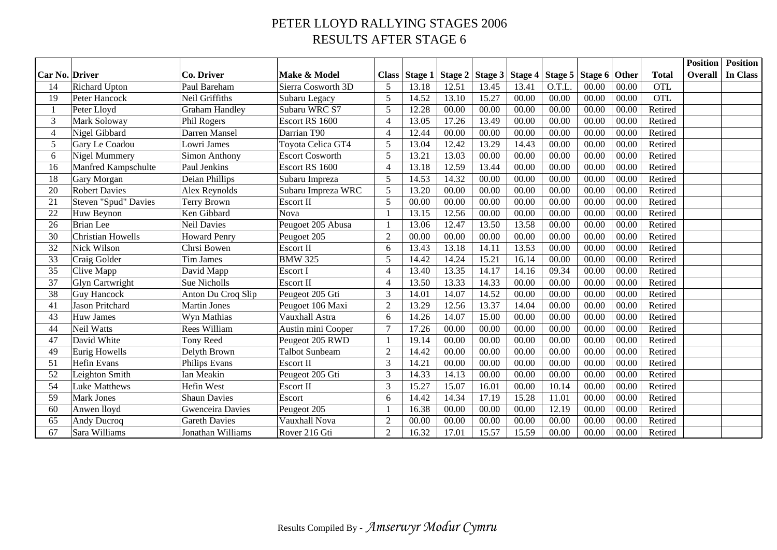## PETER LLOYD RALLYING STAGES 2006 RESULTS AFTER STAGE 6

|                       |                          |                         |                        |                |         |       |       |                                                         |        |       |       |              | <b>Position</b> | <b>Position</b> |
|-----------------------|--------------------------|-------------------------|------------------------|----------------|---------|-------|-------|---------------------------------------------------------|--------|-------|-------|--------------|-----------------|-----------------|
| <b>Car No. Driver</b> |                          | Co. Driver              | Make & Model           | <b>Class</b>   | Stage 1 |       |       | Stage 2   Stage 3   Stage 4   Stage 5   Stage 6   Other |        |       |       | <b>Total</b> | Overall         | <b>In Class</b> |
| 14                    | <b>Richard Upton</b>     | Paul Bareham            | Sierra Cosworth 3D     | 5              | 13.18   | 12.51 | 13.45 | 13.41                                                   | O.T.L. | 00.00 | 00.00 | <b>OTL</b>   |                 |                 |
| 19                    | Peter Hancock            | Neil Griffiths          | Subaru Legacy          | 5              | 14.52   | 13.10 | 15.27 | 00.00                                                   | 00.00  | 00.00 | 00.00 | <b>OTL</b>   |                 |                 |
| $\mathbf{1}$          | Peter Lloyd              | <b>Graham Handley</b>   | Subaru WRC S7          | 5              | 12.28   | 00.00 | 00.00 | 00.00                                                   | 00.00  | 00.00 | 00.00 | Retired      |                 |                 |
| 3                     | Mark Soloway             | Phil Rogers             | Escort RS 1600         | $\overline{4}$ | 13.05   | 17.26 | 13.49 | 00.00                                                   | 00.00  | 00.00 | 00.00 | Retired      |                 |                 |
| $\overline{4}$        | Nigel Gibbard            | Darren Mansel           | Darrian T90            | $\overline{4}$ | 12.44   | 00.00 | 00.00 | 00.00                                                   | 00.00  | 00.00 | 00.00 | Retired      |                 |                 |
| $\mathfrak{S}$        | Gary Le Coadou           | Lowri James             | Toyota Celica GT4      | 5              | 13.04   | 12.42 | 13.29 | 14.43                                                   | 00.00  | 00.00 | 00.00 | Retired      |                 |                 |
| 6                     | <b>Nigel Mummery</b>     | Simon Anthony           | <b>Escort Cosworth</b> | 5              | 13.21   | 13.03 | 00.00 | 00.00                                                   | 00.00  | 00.00 | 00.00 | Retired      |                 |                 |
| 16                    | Manfred Kampschulte      | Paul Jenkins            | Escort RS 1600         | $\overline{4}$ | 13.18   | 12.59 | 13.44 | 00.00                                                   | 00.00  | 00.00 | 00.00 | Retired      |                 |                 |
| 18                    | Gary Morgan              | Deian Phillips          | Subaru Impreza         | 5              | 14.53   | 14.32 | 00.00 | 00.00                                                   | 00.00  | 00.00 | 00.00 | Retired      |                 |                 |
| 20                    | <b>Robert Davies</b>     | Alex Reynolds           | Subaru Impreza WRC     | 5              | 13.20   | 00.00 | 00.00 | 00.00                                                   | 00.00  | 00.00 | 00.00 | Retired      |                 |                 |
| 21                    | Steven "Spud" Davies     | Terry Brown             | Escort II              | 5              | 00.00   | 00.00 | 00.00 | 00.00                                                   | 00.00  | 00.00 | 00.00 | Retired      |                 |                 |
| 22                    | Huw Beynon               | Ken Gibbard             | Nova                   | $\mathbf{1}$   | 13.15   | 12.56 | 00.00 | 00.00                                                   | 00.00  | 00.00 | 00.00 | Retired      |                 |                 |
| 26                    | <b>Brian</b> Lee         | <b>Neil Davies</b>      | Peugoet 205 Abusa      | $\mathbf{1}$   | 13.06   | 12.47 | 13.50 | 13.58                                                   | 00.00  | 00.00 | 00.00 | Retired      |                 |                 |
| 30                    | <b>Christian Howells</b> | <b>Howard Penry</b>     | Peugoet 205            | $\overline{2}$ | 00.00   | 00.00 | 00.00 | 00.00                                                   | 00.00  | 00.00 | 00.00 | Retired      |                 |                 |
| 32                    | Nick Wilson              | Chrsi Bowen             | Escort II              | 6              | 13.43   | 13.18 | 14.11 | 13.53                                                   | 00.00  | 00.00 | 00.00 | Retired      |                 |                 |
| 33                    | Craig Golder             | <b>Tim James</b>        | <b>BMW 325</b>         | 5              | 14.42   | 14.24 | 15.21 | 16.14                                                   | 00.00  | 00.00 | 00.00 | Retired      |                 |                 |
| 35                    | Clive Mapp               | David Mapp              | Escort I               | $\overline{4}$ | 13.40   | 13.35 | 14.17 | 14.16                                                   | 09.34  | 00.00 | 00.00 | Retired      |                 |                 |
| 37                    | <b>Glyn Cartwright</b>   | Sue Nicholls            | Escort II              | 4              | 13.50   | 13.33 | 14.33 | 00.00                                                   | 00.00  | 00.00 | 00.00 | Retired      |                 |                 |
| 38                    | <b>Guy Hancock</b>       | Anton Du Croq Slip      | Peugeot 205 Gti        | 3              | 14.01   | 14.07 | 14.52 | 00.00                                                   | 00.00  | 00.00 | 00.00 | Retired      |                 |                 |
| 41                    | <b>Jason Pritchard</b>   | <b>Martin Jones</b>     | Peugoet 106 Maxi       | $\overline{2}$ | 13.29   | 12.56 | 13.37 | 14.04                                                   | 00.00  | 00.00 | 00.00 | Retired      |                 |                 |
| 43                    | Huw James                | Wyn Mathias             | Vauxhall Astra         | 6              | 14.26   | 14.07 | 15.00 | 00.00                                                   | 00.00  | 00.00 | 00.00 | Retired      |                 |                 |
| 44                    | Neil Watts               | Rees William            | Austin mini Cooper     | 7              | 17.26   | 00.00 | 00.00 | 00.00                                                   | 00.00  | 00.00 | 00.00 | Retired      |                 |                 |
| 47                    | David White              | Tony Reed               | Peugeot 205 RWD        | $\mathbf{1}$   | 19.14   | 00.00 | 00.00 | 00.00                                                   | 00.00  | 00.00 | 00.00 | Retired      |                 |                 |
| 49                    | Eurig Howells            | Delyth Brown            | <b>Talbot Sunbeam</b>  | $\overline{2}$ | 14.42   | 00.00 | 00.00 | 00.00                                                   | 00.00  | 00.00 | 00.00 | Retired      |                 |                 |
| 51                    | <b>Hefin Evans</b>       | Philips Evans           | Escort II              | 3              | 14.21   | 00.00 | 00.00 | 00.00                                                   | 00.00  | 00.00 | 00.00 | Retired      |                 |                 |
| 52                    | Leighton Smith           | <b>Ian Meakin</b>       | Peugeot 205 Gti        | 3              | 14.33   | 14.13 | 00.00 | 00.00                                                   | 00.00  | 00.00 | 00.00 | Retired      |                 |                 |
| 54                    | Luke Matthews            | Hefin West              | Escort II              | 3              | 15.27   | 15.07 | 16.01 | 00.00                                                   | 10.14  | 00.00 | 00.00 | Retired      |                 |                 |
| 59                    | Mark Jones               | <b>Shaun Davies</b>     | Escort                 | 6              | 14.42   | 14.34 | 17.19 | 15.28                                                   | 11.01  | 00.00 | 00.00 | Retired      |                 |                 |
| 60                    | Anwen lloyd              | <b>Gwenceira Davies</b> | Peugeot 205            | $\mathbf{1}$   | 16.38   | 00.00 | 00.00 | 00.00                                                   | 12.19  | 00.00 | 00.00 | Retired      |                 |                 |
| 65                    | Andy Ducroq              | <b>Gareth Davies</b>    | Vauxhall Nova          | $\overline{2}$ | 00.00   | 00.00 | 00.00 | 00.00                                                   | 00.00  | 00.00 | 00.00 | Retired      |                 |                 |
| 67                    | Sara Williams            | Jonathan Williams       | Rover 216 Gti          | $\overline{2}$ | 16.32   | 17.01 | 15.57 | 15.59                                                   | 00.00  | 00.00 | 00.00 | Retired      |                 |                 |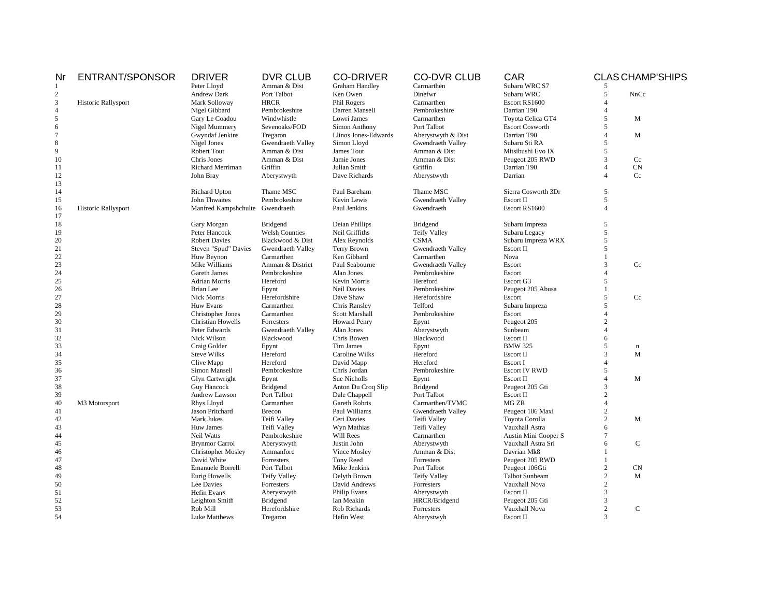| ENTRANT/SPONSOR<br>Peter Lloyd<br>$\mathbf{1}$<br>$\boldsymbol{2}$<br>Andrew Dark | Amman & Dist                              | <b>Graham Handley</b> | Carmarthen          |                        |                        | <b>CLAS CHAMP'SHIPS</b> |
|-----------------------------------------------------------------------------------|-------------------------------------------|-----------------------|---------------------|------------------------|------------------------|-------------------------|
|                                                                                   |                                           |                       |                     | Subaru WRC S7          |                        |                         |
|                                                                                   | Port Talbot                               | Ken Owen              | Dinefwr             | Subaru WRC             | 5                      | NnCc                    |
| $\overline{3}$<br>Historic Rallysport<br>Mark Solloway                            | <b>HRCR</b>                               | Phil Rogers           | Carmarthen          | Escort RS1600          | $\overline{A}$         |                         |
| $\overline{4}$<br>Nigel Gibbard                                                   | Pembrokeshire                             | Darren Mansell        | Pembrokeshire       | Darrian T90            | $\overline{A}$         |                         |
| 5<br>Gary Le Coadou                                                               | Windwhistle                               | Lowri James           | Carmarthen          | Toyota Celica GT4      | 5                      | M                       |
| $\sqrt{6}$<br>Nigel Mummery                                                       | Sevenoaks/FOD                             | Simon Anthony         | Port Talbot         | <b>Escort Cosworth</b> | 5                      |                         |
| 7                                                                                 | Gwyndaf Jenkins<br>Tregaron               | Llinos Jones-Edwards  | Aberystwyth & Dist  | Darrian T90            | $\Delta$               | M                       |
| 8<br>Nigel Jones                                                                  | Gwendraeth Valley                         | Simon Lloyd           | Gwendraeth Valley   | Subaru Sti RA          | 5                      |                         |
| 9<br>Robert Tout                                                                  | Amman & Dist                              | James Tout            | Amman & Dist        | Mitsibushi Evo IX      | 5                      |                         |
| 10<br>Chris Jones                                                                 | Amman & Dist                              | Jamie Jones           | Amman & Dist        | Peugeot 205 RWD        | 3                      | Cc                      |
| 11                                                                                | Richard Merriman<br>Griffin               | Julian Smith          | Griffin             | Darrian T90            | $\overline{4}$         | CN                      |
| 12<br>John Bray                                                                   | Aberystwyth                               | Dave Richards         | Aberystwyth         | Darrian                | $\boldsymbol{\Lambda}$ | Cc                      |
| 13                                                                                |                                           |                       |                     |                        |                        |                         |
| 14<br>Richard Upton                                                               | Thame MSC                                 | Paul Bareham          | Thame MSC           | Sierra Cosworth 3Dr    | 5                      |                         |
| John Thwaites<br>15                                                               | Pembrokeshire                             | Kevin Lewis           | Gwendraeth Valley   | Escort II              | 5                      |                         |
| Historic Rallysport<br>16                                                         | Manfred Kampshchulte Gwendraeth           | Paul Jenkins          | Gwendraeth          | Escort RS1600          | $\overline{A}$         |                         |
| 17                                                                                |                                           |                       |                     |                        |                        |                         |
| 18<br>Gary Morgan                                                                 | <b>Bridgend</b>                           | Deian Phillips        | Bridgend            | Subaru Impreza         | 5                      |                         |
| 19<br>Peter Hancock                                                               | <b>Welsh Counties</b>                     | Neil Griffiths        | <b>Teify Valley</b> | Subaru Legacy          | 5                      |                         |
| 20<br><b>Robert Davies</b>                                                        | Blackwood & Dist                          | Alex Reynolds         | <b>CSMA</b>         | Subaru Impreza WRX     | 5                      |                         |
| 21                                                                                | Steven "Spud" Davies<br>Gwendraeth Valley | Terry Brown           | Gwendraeth Valley   | Escort II              | 5                      |                         |
| 22<br>Huw Beynon                                                                  | Carmarthen                                | Ken Gibbard           | Carmarthen          | Nova                   | $\overline{1}$         |                         |
| 23<br>Mike Williams                                                               | Amman & District                          | Paul Seabourne        | Gwendraeth Valley   | Escort                 | 3                      | Cc                      |
| 24<br>Gareth James                                                                | Pembrokeshire                             | Alan Jones            | Pembrokeshire       | Escort                 | $\Delta$               |                         |
| 25<br><b>Adrian Morris</b>                                                        | Hereford                                  | Kevin Morris          | Hereford            | Escort G3              | 5                      |                         |
| 26<br><b>Brian</b> Lee                                                            | Epynt                                     | <b>Neil Davies</b>    | Pembrokeshire       | Peugeot 205 Abusa      | $\mathbf{1}$           |                         |
| 27<br>Nick Morris                                                                 | Herefordshire                             | Dave Shaw             | Herefordshire       | Escort                 | 5                      | Cc                      |
| 28<br>Huw Evans                                                                   | Carmarthen                                | Chris Ransley         | Telford             | Subaru Impreza         | 5                      |                         |
| 29                                                                                | Christopher Jones<br>Carmarthen           | Scott Marshall        | Pembrokeshire       | Escort                 | $\overline{A}$         |                         |
| 30                                                                                | <b>Christian Howells</b><br>Forresters    | <b>Howard Penry</b>   | Epynt               | Peugeot 205            | $\overline{c}$         |                         |
| 31<br>Peter Edwards                                                               | Gwendraeth Valley                         | Alan Jones            | Aberystwyth         | Sunbeam                |                        |                         |
| 32<br>Nick Wilson                                                                 | Blackwood                                 | Chris Bowen           | Blackwood           | Escort II              | 6                      |                         |
| 33                                                                                |                                           | <b>Tim James</b>      |                     | <b>BMW 325</b>         | 5                      |                         |
| Craig Golder<br>34<br><b>Steve Wilks</b>                                          | Epynt<br>Hereford                         | Caroline Wilks        | Epynt<br>Hereford   | Escort II              | $\overline{3}$         | $\mathbf n$<br>M        |
|                                                                                   |                                           |                       |                     |                        | $\overline{A}$         |                         |
| 35<br>Clive Mapp                                                                  | Hereford                                  | David Mapp            | Hereford            | Escort I               | 5                      |                         |
| 36<br>Simon Mansell                                                               | Pembrokeshire                             | Chris Jordan          | Pembrokeshire       | <b>Escort IV RWD</b>   |                        |                         |
| 37<br>Glyn Cartwright                                                             | Epynt                                     | Sue Nicholls          | Epynt               | Escort II              | $\overline{4}$         | M                       |
| 38<br><b>Guy Hancock</b>                                                          | Bridgend                                  | Anton Du Croq Slip    | Bridgend            | Peugeot 205 Gti        | 3                      |                         |
| 39<br>Andrew Lawson                                                               | Port Talbot                               | Dale Chappell         | Port Talbot         | Escort II              | $\overline{c}$         |                         |
| 40<br>M3 Motorsport<br>Rhys Lloyd                                                 | Carmarthen                                | <b>Gareth Robrts</b>  | Carmarthen/TVMC     | MG ZR                  | $\overline{A}$         |                         |
| Jason Pritchard<br>41                                                             | Brecon                                    | Paul Williams         | Gwendraeth Valley   | Peugeot 106 Maxi       | $\overline{2}$         |                         |
| 42<br>Mark Jukes                                                                  | Teifi Valley                              | Ceri Davies           | Teifi Valley        | Toyota Corolla         | $\overline{2}$         | M                       |
| 43<br>Huw James                                                                   | Teifi Valley                              | Wyn Mathias           | Teifi Valley        | Vauxhall Astra         | 6                      |                         |
| 44<br>Neil Watts                                                                  | Pembrokeshire                             | Will Rees             | Carmarthen          | Austin Mini Cooper S   | $7\phantom{.0}$        |                         |
| 45<br><b>Brynmor Carrol</b>                                                       | Aberystwyth                               | Justin John           | Aberystwyth         | Vauxhall Astra Sri     | 6                      | ${\bf C}$               |
| 46                                                                                | <b>Christopher Mosley</b><br>Ammanford    | Vince Mosley          | Amman & Dist        | Davrian Mk8            |                        |                         |
| David White<br>47                                                                 | Forresters                                | Tony Reed             | Forresters          | Peugeot 205 RWD        |                        |                         |
| 48                                                                                | Emanuele Borrelli<br>Port Talbot          | Mike Jenkins          | Port Talbot         | Peugeot 106Gti         | $\overline{c}$         | ${\rm CN}$              |
| 49<br>Eurig Howells                                                               | <b>Teify Valley</b>                       | Delyth Brown          | <b>Teify Valley</b> | Talbot Sunbeam         | $\overline{c}$         | M                       |
| 50<br>Lee Davies                                                                  | Forresters                                | David Andrews         | Forresters          | Vauxhall Nova          | $\overline{2}$         |                         |
| 51<br>Hefin Evans                                                                 | Aberystwyth                               | <b>Philip Evans</b>   | Aberystwyth         | Escort II              | $\overline{3}$         |                         |
| 52<br>Leighton Smith                                                              | Bridgend                                  | Ian Meakin            | HRCR/Bridgend       | Peugeot 205 Gti        | $\mathcal{R}$          |                         |
| 53<br>Rob Mill                                                                    | Herefordshire                             | Rob Richards          | Forresters          | Vauxhall Nova          | $\overline{2}$         | $\mathbf C$             |
| 54<br>Luke Matthews                                                               | Tregaron                                  | Hefin West            | Aberystwyh          | Escort II              | 3                      |                         |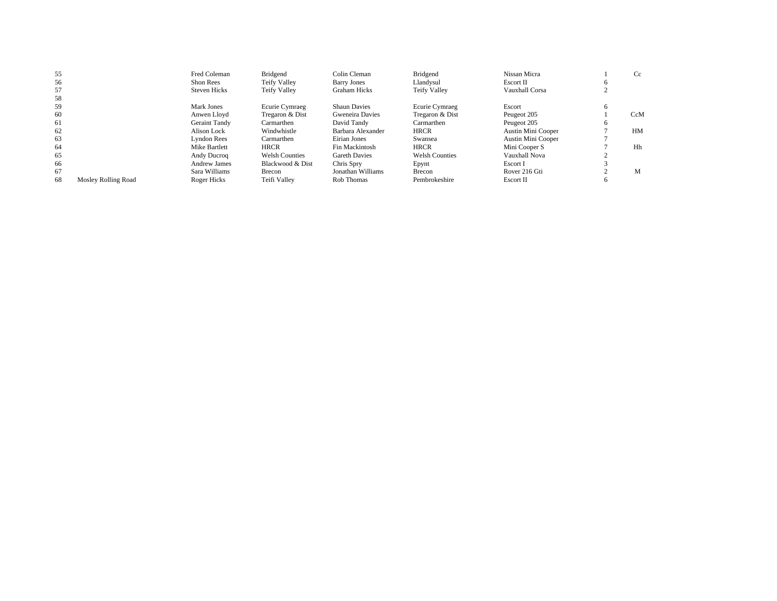| 55 |                     | Fred Coleman         | Bridgend              | Colin Cleman         | Bridgend              | Nissan Micra       |              | Cc  |
|----|---------------------|----------------------|-----------------------|----------------------|-----------------------|--------------------|--------------|-----|
| 56 |                     | Shon Rees            | Teify Valley          | <b>Barry Jones</b>   | Llandvsul             | Escort II          | <sub>0</sub> |     |
| 57 |                     | <b>Steven Hicks</b>  | Teify Valley          | <b>Graham Hicks</b>  | <b>Teify Valley</b>   | Vauxhall Corsa     |              |     |
| 58 |                     |                      |                       |                      |                       |                    |              |     |
| 59 |                     | Mark Jones           | Ecurie Cymraeg        | <b>Shaun Davies</b>  | Ecurie Cymraeg        | Escort             | <sub>0</sub> |     |
| 60 |                     | Anwen Llovd          | Tregaron & Dist       | Gweneira Davies      | Tregaron & Dist       | Peugeot 205        |              | CcM |
| 61 |                     | <b>Geraint Tandy</b> | Carmarthen            | David Tandy          | Carmarthen            | Peugeot 205        | o            |     |
| 62 |                     | Alison Lock          | Windwhistle           | Barbara Alexander    | <b>HRCR</b>           | Austin Mini Cooper |              | HM  |
| 63 |                     | <b>Lyndon Rees</b>   | Carmarthen            | Eirian Jones         | Swansea               | Austin Mini Cooper |              |     |
| 64 |                     | Mike Bartlett        | <b>HRCR</b>           | Fin Mackintosh       | <b>HRCR</b>           | Mini Cooper S      |              | Hh  |
| 65 |                     | Andy Ducroq          | <b>Welsh Counties</b> | <b>Gareth Davies</b> | <b>Welsh Counties</b> | Vauxhall Nova      |              |     |
| 66 |                     | Andrew James         | Blackwood & Dist      | Chris Spry           | Epynt                 | Escort I           |              |     |
| 67 |                     | Sara Williams        | Brecon                | Jonathan Williams    | Brecon                | Rover 216 Gti      |              | M   |
| 68 | Mosley Rolling Road | Roger Hicks          | Teifi Vallev          | Rob Thomas           | Pembrokeshire         | Escort II          | <sub>0</sub> |     |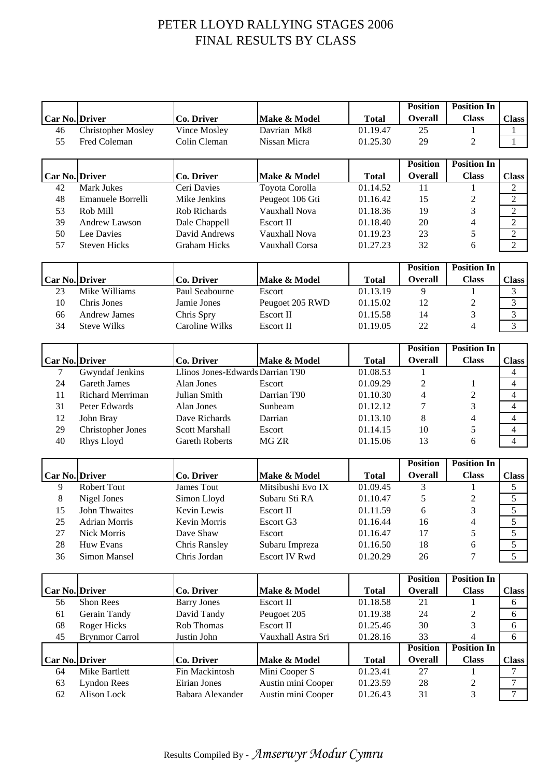## PETER LLOYD RALLYING STAGES 2006 FINAL RESULTS BY CLASS

|                |                           |                                  |                      |              | <b>Position</b> | <b>Position In</b>       |                  |
|----------------|---------------------------|----------------------------------|----------------------|--------------|-----------------|--------------------------|------------------|
| Car No. Driver |                           | Co. Driver                       | Make & Model         | <b>Total</b> | <b>Overall</b>  | <b>Class</b>             | <b>Class</b>     |
| 46             | <b>Christopher Mosley</b> | Vince Mosley                     | Davrian Mk8          | 01.19.47     | 25              | 1                        |                  |
| 55             | Fred Coleman              | Colin Cleman                     | Nissan Micra         | 01.25.30     | 29              | 2                        | 1                |
|                |                           |                                  |                      |              |                 |                          |                  |
|                |                           |                                  |                      |              | <b>Position</b> | <b>Position In</b>       |                  |
| Car No. Driver |                           | Co. Driver                       | Make & Model         | <b>Total</b> | Overall         | <b>Class</b>             | <b>Class</b>     |
| 42             | <b>Mark Jukes</b>         | Ceri Davies                      | Toyota Corolla       | 01.14.52     | 11              | 1                        | $\overline{2}$   |
| 48             | Emanuele Borrelli         | Mike Jenkins                     | Peugeot 106 Gti      | 01.16.42     | 15              | $\overline{c}$           | $\overline{c}$   |
| 53             | Rob Mill                  | Rob Richards                     | Vauxhall Nova        | 01.18.36     | 19              | 3                        | $\overline{2}$   |
| 39             | Andrew Lawson             | Dale Chappell                    | <b>Escort II</b>     | 01.18.40     | 20              | 4                        | $\overline{2}$   |
| 50             | Lee Davies                | David Andrews                    | Vauxhall Nova        | 01.19.23     | 23              | 5                        | $\overline{2}$   |
| 57             | <b>Steven Hicks</b>       | <b>Graham Hicks</b>              | Vauxhall Corsa       | 01.27.23     | 32              | 6                        | $\overline{2}$   |
|                |                           |                                  |                      |              |                 |                          |                  |
|                |                           |                                  |                      |              | <b>Position</b> | <b>Position In</b>       |                  |
| Car No. Driver |                           | Co. Driver                       | Make & Model         | <b>Total</b> | <b>Overall</b>  | <b>Class</b>             | <b>Class</b>     |
| 23             | Mike Williams             | Paul Seabourne                   | Escort               | 01.13.19     | 9               | 1                        | 3                |
| 10             | Chris Jones               | Jamie Jones                      | Peugoet 205 RWD      | 01.15.02     | 12              | 2                        | 3                |
| 66             | <b>Andrew James</b>       | Chris Spry                       | Escort II            | 01.15.58     | 14              | 3                        | 3                |
| 34             | <b>Steve Wilks</b>        | <b>Caroline Wilks</b>            | Escort II            | 01.19.05     | 22              | 4                        | 3                |
|                |                           |                                  |                      |              |                 |                          |                  |
|                |                           |                                  |                      |              | <b>Position</b> | <b>Position In</b>       |                  |
| Car No. Driver |                           | Co. Driver                       | Make & Model         | <b>Total</b> | <b>Overall</b>  | <b>Class</b>             | <b>Class</b>     |
| 7              | Gwyndaf Jenkins           | Llinos Jones-Edwards Darrian T90 |                      | 01.08.53     | 1               |                          | $\overline{4}$   |
| 24             | <b>Gareth James</b>       | Alan Jones                       | Escort               | 01.09.29     | $\overline{c}$  | $\mathbf{1}$             | $\overline{4}$   |
| 11             | Richard Merriman          | Julian Smith                     | Darrian T90          | 01.10.30     | 4               | $\mathfrak{2}$           | $\overline{4}$   |
| 31             | Peter Edwards             | Alan Jones                       | Sunbeam              | 01.12.12     | 7               | 3                        | $\overline{4}$   |
| 12             | John Bray                 | Dave Richards                    | Darrian              | 01.13.10     | 8               | 4                        | $\overline{4}$   |
| 29             | <b>Christopher Jones</b>  | <b>Scott Marshall</b>            | Escort               | 01.14.15     | 10              | 5                        | $\overline{4}$   |
| 40             | Rhys Lloyd                | <b>Gareth Roberts</b>            | MG <sub>ZR</sub>     | 01.15.06     | 13              | 6                        | $\overline{4}$   |
|                |                           |                                  |                      |              | <b>Position</b> | <b>Position In</b>       |                  |
| Car No. Driver |                           | Co. Driver                       | Make & Model         | <b>Total</b> | <b>Overall</b>  | <b>Class</b>             | <b>Class</b>     |
| 9              | Robert Tout               | James Tout                       | Mitsibushi Evo IX    | 01.09.45     | 3               | 1                        | 5                |
| 8              | Nigel Jones               | Simon Lloyd                      | Subaru Sti RA        | 01.10.47     | 5               | $\overline{c}$           | 5                |
|                | 15 John Thwaites          | Kevin Lewis                      | Escort II            | 01.11.59     | 6               | 3                        | $\overline{5}$   |
| 25             | <b>Adrian Morris</b>      | Kevin Morris                     | Escort G3            | 01.16.44     | 16              | $\overline{\mathcal{A}}$ | 5                |
| 27             | <b>Nick Morris</b>        | Dave Shaw                        | Escort               | 01.16.47     | 17              | 5                        | 5                |
| 28             | Huw Evans                 | <b>Chris Ransley</b>             | Subaru Impreza       | 01.16.50     | 18              | 6                        | 5                |
| 36             | Simon Mansel              | Chris Jordan                     | <b>Escort IV Rwd</b> | 01.20.29     | 26              | 7                        | $\overline{5}$   |
|                |                           |                                  |                      |              |                 |                          |                  |
|                |                           |                                  |                      |              | <b>Position</b> | <b>Position In</b>       |                  |
| Car No. Driver |                           | Co. Driver                       | Make & Model         | <b>Total</b> | <b>Overall</b>  | <b>Class</b>             | <b>Class</b>     |
| 56             | Shon Rees                 | <b>Barry Jones</b>               | Escort II            | 01.18.58     | 21              | 1                        | 6                |
| 61             | Gerain Tandy              | David Tandy                      | Peugoet 205          | 01.19.38     | 24              | 2                        | 6                |
| 68             | <b>Roger Hicks</b>        | Rob Thomas                       | <b>Escort II</b>     | 01.25.46     | 30              | 3                        | 6                |
| 45             | <b>Brynmor Carrol</b>     | Justin John                      | Vauxhall Astra Sri   | 01.28.16     | 33              | 4                        | 6                |
|                |                           |                                  |                      |              | <b>Position</b> | <b>Position In</b>       |                  |
| Car No. Driver |                           | Co. Driver                       | Make & Model         | <b>Total</b> | <b>Overall</b>  | <b>Class</b>             | <b>Class</b>     |
| 64             | Mike Bartlett             | Fin Mackintosh                   | Mini Cooper S        | 01.23.41     | 27              | 1                        | 7                |
| 63             | <b>Lyndon Rees</b>        | Eirian Jones                     | Austin mini Cooper   | 01.23.59     | 28              | 2                        | 7                |
| 62             | Alison Lock               | Babara Alexander                 | Austin mini Cooper   | 01.26.43     | 31              | 3                        | $\boldsymbol{7}$ |